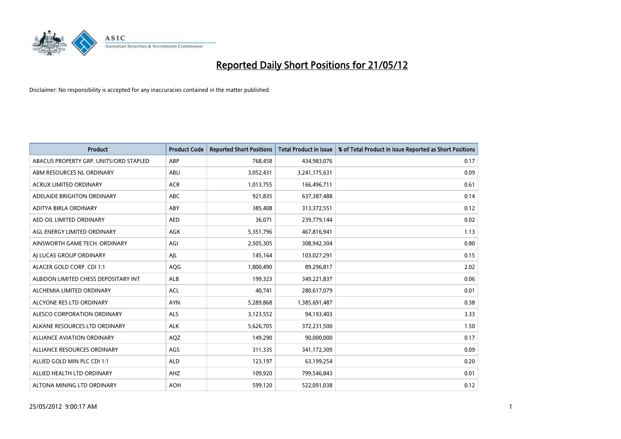

| <b>Product</b>                         | <b>Product Code</b> | <b>Reported Short Positions</b> | <b>Total Product in Issue</b> | % of Total Product in Issue Reported as Short Positions |
|----------------------------------------|---------------------|---------------------------------|-------------------------------|---------------------------------------------------------|
| ABACUS PROPERTY GRP. UNITS/ORD STAPLED | ABP                 | 768,458                         | 434,983,076                   | 0.17                                                    |
| ABM RESOURCES NL ORDINARY              | ABU                 | 3,052,431                       | 3,241,175,631                 | 0.09                                                    |
| <b>ACRUX LIMITED ORDINARY</b>          | <b>ACR</b>          | 1,013,755                       | 166,496,711                   | 0.61                                                    |
| ADELAIDE BRIGHTON ORDINARY             | <b>ABC</b>          | 921,835                         | 637,387,488                   | 0.14                                                    |
| ADITYA BIRLA ORDINARY                  | ABY                 | 385,408                         | 313,372,551                   | 0.12                                                    |
| AED OIL LIMITED ORDINARY               | <b>AED</b>          | 36,071                          | 239,779,144                   | 0.02                                                    |
| AGL ENERGY LIMITED ORDINARY            | AGK                 | 5,351,796                       | 467,816,941                   | 1.13                                                    |
| AINSWORTH GAME TECH. ORDINARY          | AGI                 | 2,505,305                       | 308,942,304                   | 0.80                                                    |
| AI LUCAS GROUP ORDINARY                | AJL                 | 145,164                         | 103,027,291                   | 0.15                                                    |
| ALACER GOLD CORP. CDI 1:1              | AQG                 | 1,800,490                       | 89,296,817                    | 2.02                                                    |
| ALBIDON LIMITED CHESS DEPOSITARY INT   | ALB                 | 199,323                         | 349,221,837                   | 0.06                                                    |
| ALCHEMIA LIMITED ORDINARY              | <b>ACL</b>          | 40,741                          | 280,617,079                   | 0.01                                                    |
| ALCYONE RES LTD ORDINARY               | <b>AYN</b>          | 5,289,868                       | 1,385,691,487                 | 0.38                                                    |
| ALESCO CORPORATION ORDINARY            | ALS                 | 3,123,552                       | 94,193,403                    | 3.33                                                    |
| ALKANE RESOURCES LTD ORDINARY          | <b>ALK</b>          | 5,626,705                       | 372,231,500                   | 1.50                                                    |
| ALLIANCE AVIATION ORDINARY             | AQZ                 | 149,290                         | 90,000,000                    | 0.17                                                    |
| ALLIANCE RESOURCES ORDINARY            | AGS                 | 311,335                         | 341,172,309                   | 0.09                                                    |
| ALLIED GOLD MIN PLC CDI 1:1            | <b>ALD</b>          | 123,197                         | 63,199,254                    | 0.20                                                    |
| ALLIED HEALTH LTD ORDINARY             | AHZ                 | 109,920                         | 799,546,843                   | 0.01                                                    |
| ALTONA MINING LTD ORDINARY             | <b>AOH</b>          | 599,120                         | 522,091,038                   | 0.12                                                    |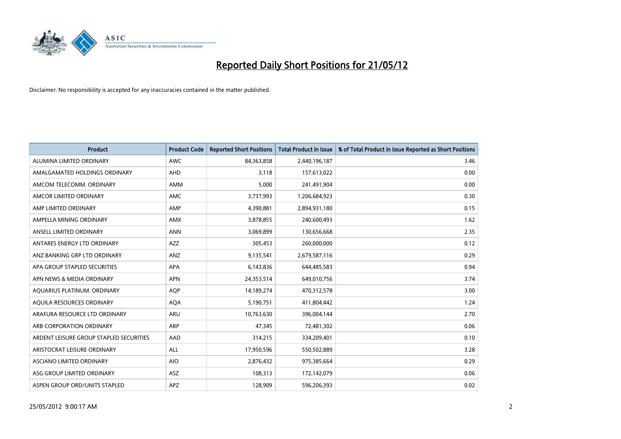

| <b>Product</b>                          | <b>Product Code</b> | <b>Reported Short Positions</b> | <b>Total Product in Issue</b> | % of Total Product in Issue Reported as Short Positions |
|-----------------------------------------|---------------------|---------------------------------|-------------------------------|---------------------------------------------------------|
| ALUMINA LIMITED ORDINARY                | <b>AWC</b>          | 84,363,858                      | 2,440,196,187                 | 3.46                                                    |
| AMALGAMATED HOLDINGS ORDINARY           | AHD                 | 3,118                           | 157,613,022                   | 0.00                                                    |
| AMCOM TELECOMM. ORDINARY                | AMM                 | 5,000                           | 241,491,904                   | 0.00                                                    |
| AMCOR LIMITED ORDINARY                  | AMC                 | 3,737,993                       | 1,206,684,923                 | 0.30                                                    |
| AMP LIMITED ORDINARY                    | AMP                 | 4,390,881                       | 2,894,931,180                 | 0.15                                                    |
| AMPELLA MINING ORDINARY                 | <b>AMX</b>          | 3,878,855                       | 240,600,493                   | 1.62                                                    |
| ANSELL LIMITED ORDINARY                 | <b>ANN</b>          | 3,069,899                       | 130,656,668                   | 2.35                                                    |
| ANTARES ENERGY LTD ORDINARY             | AZZ                 | 305,453                         | 260,000,000                   | 0.12                                                    |
| ANZ BANKING GRP LTD ORDINARY            | ANZ                 | 9,135,541                       | 2,679,587,116                 | 0.29                                                    |
| APA GROUP STAPLED SECURITIES            | <b>APA</b>          | 6,143,836                       | 644,485,583                   | 0.94                                                    |
| APN NEWS & MEDIA ORDINARY               | <b>APN</b>          | 24,353,514                      | 649,010,756                   | 3.74                                                    |
| AQUARIUS PLATINUM. ORDINARY             | <b>AOP</b>          | 14,189,274                      | 470,312,578                   | 3.00                                                    |
| AQUILA RESOURCES ORDINARY               | <b>AQA</b>          | 5,190,751                       | 411,804,442                   | 1.24                                                    |
| ARAFURA RESOURCE LTD ORDINARY           | <b>ARU</b>          | 10,763,630                      | 396,004,144                   | 2.70                                                    |
| ARB CORPORATION ORDINARY                | <b>ARP</b>          | 47,345                          | 72,481,302                    | 0.06                                                    |
| ARDENT LEISURE GROUP STAPLED SECURITIES | AAD                 | 314,215                         | 334,209,401                   | 0.10                                                    |
| ARISTOCRAT LEISURE ORDINARY             | <b>ALL</b>          | 17,950,596                      | 550,502,889                   | 3.28                                                    |
| ASCIANO LIMITED ORDINARY                | <b>AIO</b>          | 2,876,432                       | 975,385,664                   | 0.29                                                    |
| ASG GROUP LIMITED ORDINARY              | ASZ                 | 108,313                         | 172,142,079                   | 0.06                                                    |
| ASPEN GROUP ORD/UNITS STAPLED           | APZ                 | 128,909                         | 596,206,393                   | 0.02                                                    |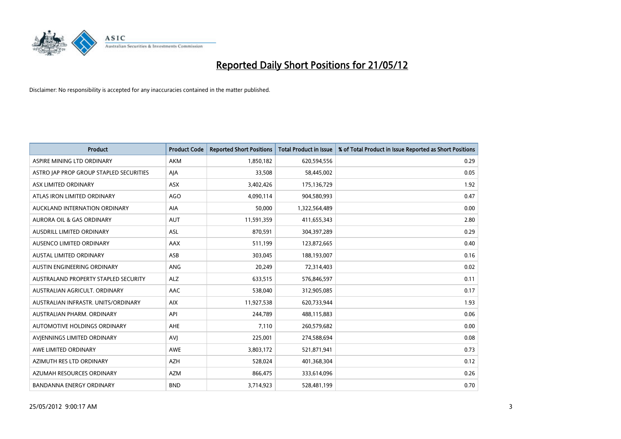

| <b>Product</b>                          | <b>Product Code</b> | <b>Reported Short Positions</b> | <b>Total Product in Issue</b> | % of Total Product in Issue Reported as Short Positions |
|-----------------------------------------|---------------------|---------------------------------|-------------------------------|---------------------------------------------------------|
| ASPIRE MINING LTD ORDINARY              | <b>AKM</b>          | 1,850,182                       | 620,594,556                   | 0.29                                                    |
| ASTRO JAP PROP GROUP STAPLED SECURITIES | AJA                 | 33,508                          | 58,445,002                    | 0.05                                                    |
| ASX LIMITED ORDINARY                    | <b>ASX</b>          | 3,402,426                       | 175,136,729                   | 1.92                                                    |
| ATLAS IRON LIMITED ORDINARY             | AGO                 | 4,090,114                       | 904,580,993                   | 0.47                                                    |
| AUCKLAND INTERNATION ORDINARY           | AIA                 | 50,000                          | 1,322,564,489                 | 0.00                                                    |
| <b>AURORA OIL &amp; GAS ORDINARY</b>    | <b>AUT</b>          | 11,591,359                      | 411,655,343                   | 2.80                                                    |
| AUSDRILL LIMITED ORDINARY               | ASL                 | 870,591                         | 304,397,289                   | 0.29                                                    |
| AUSENCO LIMITED ORDINARY                | AAX                 | 511,199                         | 123,872,665                   | 0.40                                                    |
| <b>AUSTAL LIMITED ORDINARY</b>          | ASB                 | 303,045                         | 188,193,007                   | 0.16                                                    |
| AUSTIN ENGINEERING ORDINARY             | ANG                 | 20,249                          | 72,314,403                    | 0.02                                                    |
| AUSTRALAND PROPERTY STAPLED SECURITY    | <b>ALZ</b>          | 633,515                         | 576,846,597                   | 0.11                                                    |
| AUSTRALIAN AGRICULT, ORDINARY           | AAC                 | 538,040                         | 312,905,085                   | 0.17                                                    |
| AUSTRALIAN INFRASTR. UNITS/ORDINARY     | <b>AIX</b>          | 11,927,538                      | 620,733,944                   | 1.93                                                    |
| AUSTRALIAN PHARM. ORDINARY              | API                 | 244,789                         | 488,115,883                   | 0.06                                                    |
| AUTOMOTIVE HOLDINGS ORDINARY            | AHE                 | 7,110                           | 260,579,682                   | 0.00                                                    |
| AVIENNINGS LIMITED ORDINARY             | <b>AVI</b>          | 225,001                         | 274,588,694                   | 0.08                                                    |
| AWE LIMITED ORDINARY                    | AWE                 | 3,803,172                       | 521,871,941                   | 0.73                                                    |
| AZIMUTH RES LTD ORDINARY                | <b>AZH</b>          | 528,024                         | 401,368,304                   | 0.12                                                    |
| AZUMAH RESOURCES ORDINARY               | AZM                 | 866,475                         | 333,614,096                   | 0.26                                                    |
| <b>BANDANNA ENERGY ORDINARY</b>         | <b>BND</b>          | 3,714,923                       | 528,481,199                   | 0.70                                                    |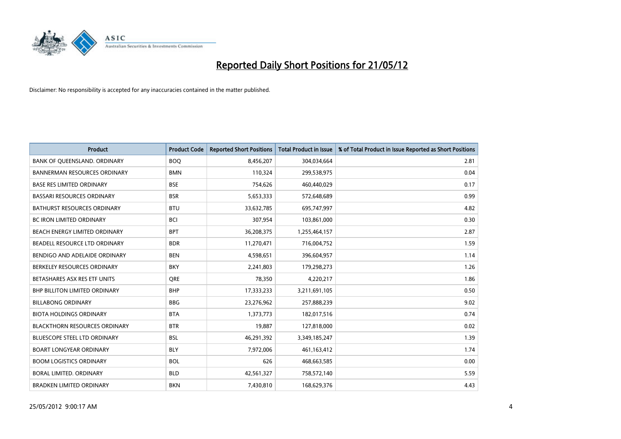

| <b>Product</b>                       | <b>Product Code</b> | <b>Reported Short Positions</b> | <b>Total Product in Issue</b> | % of Total Product in Issue Reported as Short Positions |
|--------------------------------------|---------------------|---------------------------------|-------------------------------|---------------------------------------------------------|
| BANK OF QUEENSLAND. ORDINARY         | <b>BOQ</b>          | 8,456,207                       | 304,034,664                   | 2.81                                                    |
| <b>BANNERMAN RESOURCES ORDINARY</b>  | <b>BMN</b>          | 110,324                         | 299,538,975                   | 0.04                                                    |
| <b>BASE RES LIMITED ORDINARY</b>     | <b>BSE</b>          | 754,626                         | 460,440,029                   | 0.17                                                    |
| <b>BASSARI RESOURCES ORDINARY</b>    | <b>BSR</b>          | 5,653,333                       | 572,648,689                   | 0.99                                                    |
| <b>BATHURST RESOURCES ORDINARY</b>   | <b>BTU</b>          | 33,632,785                      | 695,747,997                   | 4.82                                                    |
| <b>BC IRON LIMITED ORDINARY</b>      | <b>BCI</b>          | 307,954                         | 103,861,000                   | 0.30                                                    |
| BEACH ENERGY LIMITED ORDINARY        | <b>BPT</b>          | 36,208,375                      | 1,255,464,157                 | 2.87                                                    |
| BEADELL RESOURCE LTD ORDINARY        | <b>BDR</b>          | 11,270,471                      | 716,004,752                   | 1.59                                                    |
| BENDIGO AND ADELAIDE ORDINARY        | <b>BEN</b>          | 4,598,651                       | 396,604,957                   | 1.14                                                    |
| BERKELEY RESOURCES ORDINARY          | <b>BKY</b>          | 2,241,803                       | 179,298,273                   | 1.26                                                    |
| BETASHARES ASX RES ETF UNITS         | <b>ORE</b>          | 78,350                          | 4,220,217                     | 1.86                                                    |
| <b>BHP BILLITON LIMITED ORDINARY</b> | <b>BHP</b>          | 17,333,233                      | 3,211,691,105                 | 0.50                                                    |
| <b>BILLABONG ORDINARY</b>            | <b>BBG</b>          | 23,276,962                      | 257,888,239                   | 9.02                                                    |
| <b>BIOTA HOLDINGS ORDINARY</b>       | <b>BTA</b>          | 1,373,773                       | 182,017,516                   | 0.74                                                    |
| <b>BLACKTHORN RESOURCES ORDINARY</b> | <b>BTR</b>          | 19,887                          | 127,818,000                   | 0.02                                                    |
| BLUESCOPE STEEL LTD ORDINARY         | <b>BSL</b>          | 46,291,392                      | 3,349,185,247                 | 1.39                                                    |
| <b>BOART LONGYEAR ORDINARY</b>       | <b>BLY</b>          | 7,972,006                       | 461,163,412                   | 1.74                                                    |
| <b>BOOM LOGISTICS ORDINARY</b>       | <b>BOL</b>          | 626                             | 468,663,585                   | 0.00                                                    |
| <b>BORAL LIMITED, ORDINARY</b>       | <b>BLD</b>          | 42,561,327                      | 758,572,140                   | 5.59                                                    |
| <b>BRADKEN LIMITED ORDINARY</b>      | <b>BKN</b>          | 7,430,810                       | 168,629,376                   | 4.43                                                    |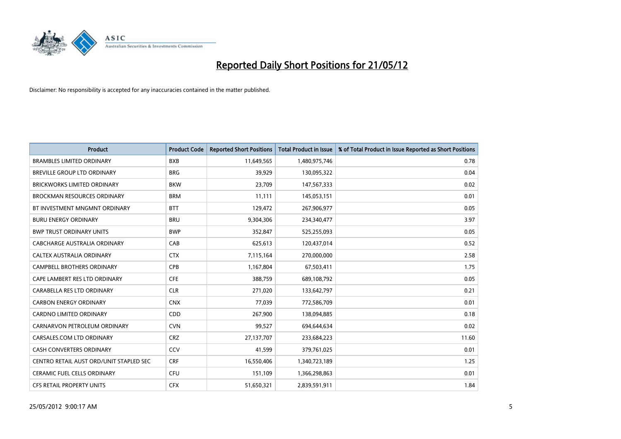

| <b>Product</b>                          | <b>Product Code</b> | <b>Reported Short Positions</b> | <b>Total Product in Issue</b> | % of Total Product in Issue Reported as Short Positions |
|-----------------------------------------|---------------------|---------------------------------|-------------------------------|---------------------------------------------------------|
| <b>BRAMBLES LIMITED ORDINARY</b>        | <b>BXB</b>          | 11,649,565                      | 1,480,975,746                 | 0.78                                                    |
| BREVILLE GROUP LTD ORDINARY             | <b>BRG</b>          | 39,929                          | 130,095,322                   | 0.04                                                    |
| <b>BRICKWORKS LIMITED ORDINARY</b>      | <b>BKW</b>          | 23,709                          | 147,567,333                   | 0.02                                                    |
| <b>BROCKMAN RESOURCES ORDINARY</b>      | <b>BRM</b>          | 11,111                          | 145,053,151                   | 0.01                                                    |
| BT INVESTMENT MNGMNT ORDINARY           | <b>BTT</b>          | 129,472                         | 267,906,977                   | 0.05                                                    |
| <b>BURU ENERGY ORDINARY</b>             | <b>BRU</b>          | 9,304,306                       | 234,340,477                   | 3.97                                                    |
| <b>BWP TRUST ORDINARY UNITS</b>         | <b>BWP</b>          | 352,847                         | 525,255,093                   | 0.05                                                    |
| CABCHARGE AUSTRALIA ORDINARY            | CAB                 | 625,613                         | 120,437,014                   | 0.52                                                    |
| CALTEX AUSTRALIA ORDINARY               | <b>CTX</b>          | 7,115,164                       | 270,000,000                   | 2.58                                                    |
| <b>CAMPBELL BROTHERS ORDINARY</b>       | <b>CPB</b>          | 1,167,804                       | 67,503,411                    | 1.75                                                    |
| CAPE LAMBERT RES LTD ORDINARY           | <b>CFE</b>          | 388,759                         | 689,108,792                   | 0.05                                                    |
| CARABELLA RES LTD ORDINARY              | <b>CLR</b>          | 271,020                         | 133,642,797                   | 0.21                                                    |
| <b>CARBON ENERGY ORDINARY</b>           | <b>CNX</b>          | 77,039                          | 772,586,709                   | 0.01                                                    |
| <b>CARDNO LIMITED ORDINARY</b>          | CDD                 | 267,900                         | 138,094,885                   | 0.18                                                    |
| CARNARVON PETROLEUM ORDINARY            | <b>CVN</b>          | 99,527                          | 694,644,634                   | 0.02                                                    |
| CARSALES.COM LTD ORDINARY               | <b>CRZ</b>          | 27,137,707                      | 233,684,223                   | 11.60                                                   |
| CASH CONVERTERS ORDINARY                | CCV                 | 41,599                          | 379,761,025                   | 0.01                                                    |
| CENTRO RETAIL AUST ORD/UNIT STAPLED SEC | <b>CRF</b>          | 16,550,406                      | 1,340,723,189                 | 1.25                                                    |
| CERAMIC FUEL CELLS ORDINARY             | <b>CFU</b>          | 151,109                         | 1,366,298,863                 | 0.01                                                    |
| CFS RETAIL PROPERTY UNITS               | <b>CFX</b>          | 51,650,321                      | 2,839,591,911                 | 1.84                                                    |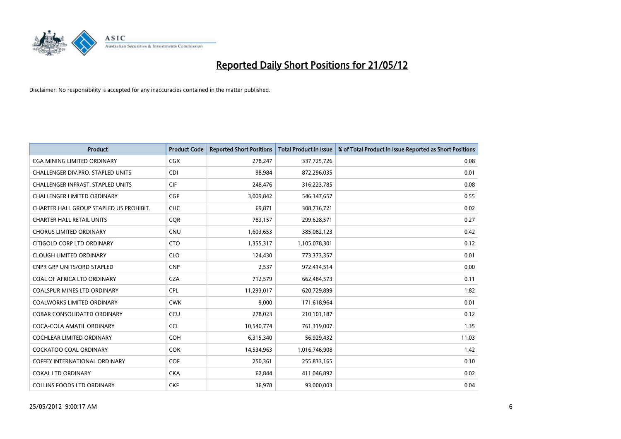

| <b>Product</b>                           | <b>Product Code</b> | <b>Reported Short Positions</b> | <b>Total Product in Issue</b> | % of Total Product in Issue Reported as Short Positions |
|------------------------------------------|---------------------|---------------------------------|-------------------------------|---------------------------------------------------------|
| <b>CGA MINING LIMITED ORDINARY</b>       | <b>CGX</b>          | 278,247                         | 337,725,726                   | 0.08                                                    |
| CHALLENGER DIV.PRO. STAPLED UNITS        | <b>CDI</b>          | 98,984                          | 872,296,035                   | 0.01                                                    |
| <b>CHALLENGER INFRAST, STAPLED UNITS</b> | <b>CIF</b>          | 248,476                         | 316,223,785                   | 0.08                                                    |
| <b>CHALLENGER LIMITED ORDINARY</b>       | <b>CGF</b>          | 3,009,842                       | 546,347,657                   | 0.55                                                    |
| CHARTER HALL GROUP STAPLED US PROHIBIT.  | <b>CHC</b>          | 69,871                          | 308,736,721                   | 0.02                                                    |
| <b>CHARTER HALL RETAIL UNITS</b>         | CQR                 | 783,157                         | 299,628,571                   | 0.27                                                    |
| <b>CHORUS LIMITED ORDINARY</b>           | <b>CNU</b>          | 1,603,653                       | 385,082,123                   | 0.42                                                    |
| CITIGOLD CORP LTD ORDINARY               | <b>CTO</b>          | 1,355,317                       | 1,105,078,301                 | 0.12                                                    |
| <b>CLOUGH LIMITED ORDINARY</b>           | <b>CLO</b>          | 124,430                         | 773,373,357                   | 0.01                                                    |
| <b>CNPR GRP UNITS/ORD STAPLED</b>        | <b>CNP</b>          | 2,537                           | 972,414,514                   | 0.00                                                    |
| COAL OF AFRICA LTD ORDINARY              | <b>CZA</b>          | 712,579                         | 662,484,573                   | 0.11                                                    |
| <b>COALSPUR MINES LTD ORDINARY</b>       | <b>CPL</b>          | 11,293,017                      | 620,729,899                   | 1.82                                                    |
| COALWORKS LIMITED ORDINARY               | <b>CWK</b>          | 9,000                           | 171,618,964                   | 0.01                                                    |
| <b>COBAR CONSOLIDATED ORDINARY</b>       | CCU                 | 278,023                         | 210,101,187                   | 0.12                                                    |
| COCA-COLA AMATIL ORDINARY                | <b>CCL</b>          | 10,540,774                      | 761,319,007                   | 1.35                                                    |
| COCHLEAR LIMITED ORDINARY                | <b>COH</b>          | 6,315,340                       | 56,929,432                    | 11.03                                                   |
| COCKATOO COAL ORDINARY                   | <b>COK</b>          | 14,534,963                      | 1,016,746,908                 | 1.42                                                    |
| <b>COFFEY INTERNATIONAL ORDINARY</b>     | <b>COF</b>          | 250,361                         | 255,833,165                   | 0.10                                                    |
| COKAL LTD ORDINARY                       | <b>CKA</b>          | 62,844                          | 411,046,892                   | 0.02                                                    |
| <b>COLLINS FOODS LTD ORDINARY</b>        | <b>CKF</b>          | 36,978                          | 93,000,003                    | 0.04                                                    |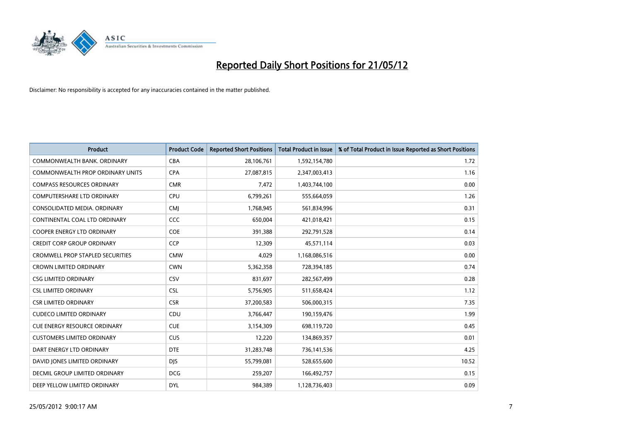

| <b>Product</b>                      | <b>Product Code</b> | <b>Reported Short Positions</b> | <b>Total Product in Issue</b> | % of Total Product in Issue Reported as Short Positions |
|-------------------------------------|---------------------|---------------------------------|-------------------------------|---------------------------------------------------------|
| COMMONWEALTH BANK, ORDINARY         | <b>CBA</b>          | 28,106,761                      | 1,592,154,780                 | 1.72                                                    |
| COMMONWEALTH PROP ORDINARY UNITS    | <b>CPA</b>          | 27,087,815                      | 2,347,003,413                 | 1.16                                                    |
| <b>COMPASS RESOURCES ORDINARY</b>   | <b>CMR</b>          | 7,472                           | 1,403,744,100                 | 0.00                                                    |
| COMPUTERSHARE LTD ORDINARY          | <b>CPU</b>          | 6,799,261                       | 555,664,059                   | 1.26                                                    |
| CONSOLIDATED MEDIA, ORDINARY        | <b>CMI</b>          | 1,768,945                       | 561,834,996                   | 0.31                                                    |
| CONTINENTAL COAL LTD ORDINARY       | <b>CCC</b>          | 650,004                         | 421,018,421                   | 0.15                                                    |
| <b>COOPER ENERGY LTD ORDINARY</b>   | <b>COE</b>          | 391,388                         | 292,791,528                   | 0.14                                                    |
| <b>CREDIT CORP GROUP ORDINARY</b>   | <b>CCP</b>          | 12,309                          | 45,571,114                    | 0.03                                                    |
| CROMWELL PROP STAPLED SECURITIES    | <b>CMW</b>          | 4,029                           | 1,168,086,516                 | 0.00                                                    |
| <b>CROWN LIMITED ORDINARY</b>       | <b>CWN</b>          | 5,362,358                       | 728,394,185                   | 0.74                                                    |
| <b>CSG LIMITED ORDINARY</b>         | <b>CSV</b>          | 831,697                         | 282,567,499                   | 0.28                                                    |
| <b>CSL LIMITED ORDINARY</b>         | <b>CSL</b>          | 5,756,905                       | 511,658,424                   | 1.12                                                    |
| <b>CSR LIMITED ORDINARY</b>         | <b>CSR</b>          | 37,200,583                      | 506,000,315                   | 7.35                                                    |
| <b>CUDECO LIMITED ORDINARY</b>      | CDU                 | 3,766,447                       | 190,159,476                   | 1.99                                                    |
| <b>CUE ENERGY RESOURCE ORDINARY</b> | <b>CUE</b>          | 3,154,309                       | 698,119,720                   | 0.45                                                    |
| <b>CUSTOMERS LIMITED ORDINARY</b>   | <b>CUS</b>          | 12,220                          | 134,869,357                   | 0.01                                                    |
| DART ENERGY LTD ORDINARY            | <b>DTE</b>          | 31,283,748                      | 736,141,536                   | 4.25                                                    |
| DAVID JONES LIMITED ORDINARY        | <b>DJS</b>          | 55,799,081                      | 528,655,600                   | 10.52                                                   |
| DECMIL GROUP LIMITED ORDINARY       | <b>DCG</b>          | 259,207                         | 166,492,757                   | 0.15                                                    |
| DEEP YELLOW LIMITED ORDINARY        | <b>DYL</b>          | 984.389                         | 1,128,736,403                 | 0.09                                                    |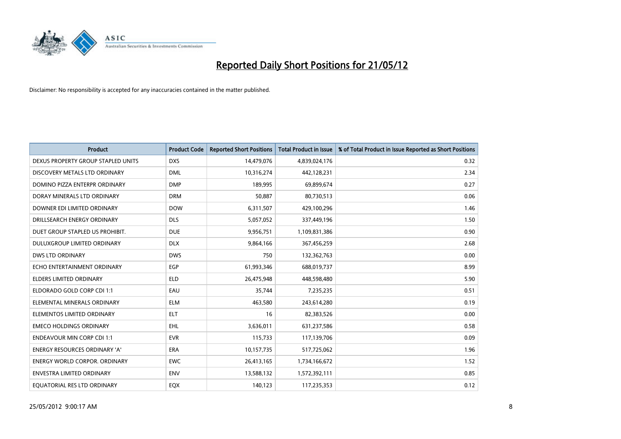

| <b>Product</b>                       | <b>Product Code</b> | <b>Reported Short Positions</b> | <b>Total Product in Issue</b> | % of Total Product in Issue Reported as Short Positions |
|--------------------------------------|---------------------|---------------------------------|-------------------------------|---------------------------------------------------------|
| DEXUS PROPERTY GROUP STAPLED UNITS   | <b>DXS</b>          | 14,479,076                      | 4,839,024,176                 | 0.32                                                    |
| DISCOVERY METALS LTD ORDINARY        | <b>DML</b>          | 10,316,274                      | 442,128,231                   | 2.34                                                    |
| DOMINO PIZZA ENTERPR ORDINARY        | <b>DMP</b>          | 189,995                         | 69,899,674                    | 0.27                                                    |
| DORAY MINERALS LTD ORDINARY          | <b>DRM</b>          | 50,887                          | 80,730,513                    | 0.06                                                    |
| DOWNER EDI LIMITED ORDINARY          | <b>DOW</b>          | 6,311,507                       | 429,100,296                   | 1.46                                                    |
| DRILLSEARCH ENERGY ORDINARY          | <b>DLS</b>          | 5,057,052                       | 337,449,196                   | 1.50                                                    |
| DUET GROUP STAPLED US PROHIBIT.      | <b>DUE</b>          | 9,956,751                       | 1,109,831,386                 | 0.90                                                    |
| DULUXGROUP LIMITED ORDINARY          | <b>DLX</b>          | 9,864,166                       | 367,456,259                   | 2.68                                                    |
| <b>DWS LTD ORDINARY</b>              | <b>DWS</b>          | 750                             | 132,362,763                   | 0.00                                                    |
| ECHO ENTERTAINMENT ORDINARY          | <b>EGP</b>          | 61,993,346                      | 688,019,737                   | 8.99                                                    |
| <b>ELDERS LIMITED ORDINARY</b>       | <b>ELD</b>          | 26,475,948                      | 448,598,480                   | 5.90                                                    |
| ELDORADO GOLD CORP CDI 1:1           | EAU                 | 35,744                          | 7,235,235                     | 0.51                                                    |
| ELEMENTAL MINERALS ORDINARY          | <b>ELM</b>          | 463,580                         | 243,614,280                   | 0.19                                                    |
| ELEMENTOS LIMITED ORDINARY           | <b>ELT</b>          | 16                              | 82,383,526                    | 0.00                                                    |
| <b>EMECO HOLDINGS ORDINARY</b>       | <b>EHL</b>          | 3,636,011                       | 631,237,586                   | 0.58                                                    |
| <b>ENDEAVOUR MIN CORP CDI 1:1</b>    | <b>EVR</b>          | 115,733                         | 117,139,706                   | 0.09                                                    |
| <b>ENERGY RESOURCES ORDINARY 'A'</b> | ERA                 | 10,157,735                      | 517,725,062                   | 1.96                                                    |
| <b>ENERGY WORLD CORPOR. ORDINARY</b> | <b>EWC</b>          | 26,413,165                      | 1,734,166,672                 | 1.52                                                    |
| <b>ENVESTRA LIMITED ORDINARY</b>     | <b>ENV</b>          | 13,588,132                      | 1,572,392,111                 | 0.85                                                    |
| EQUATORIAL RES LTD ORDINARY          | EQX                 | 140,123                         | 117,235,353                   | 0.12                                                    |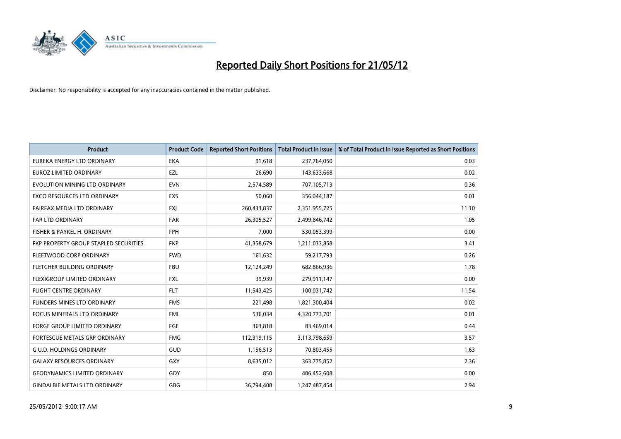

| <b>Product</b>                        | <b>Product Code</b> | <b>Reported Short Positions</b> | <b>Total Product in Issue</b> | % of Total Product in Issue Reported as Short Positions |
|---------------------------------------|---------------------|---------------------------------|-------------------------------|---------------------------------------------------------|
| EUREKA ENERGY LTD ORDINARY            | <b>EKA</b>          | 91,618                          | 237,764,050                   | 0.03                                                    |
| EUROZ LIMITED ORDINARY                | EZL                 | 26,690                          | 143,633,668                   | 0.02                                                    |
| EVOLUTION MINING LTD ORDINARY         | <b>EVN</b>          | 2,574,589                       | 707,105,713                   | 0.36                                                    |
| <b>EXCO RESOURCES LTD ORDINARY</b>    | <b>EXS</b>          | 50,060                          | 356,044,187                   | 0.01                                                    |
| FAIRFAX MEDIA LTD ORDINARY            | <b>FXI</b>          | 260,433,837                     | 2,351,955,725                 | 11.10                                                   |
| <b>FAR LTD ORDINARY</b>               | <b>FAR</b>          | 26,305,527                      | 2,499,846,742                 | 1.05                                                    |
| FISHER & PAYKEL H. ORDINARY           | <b>FPH</b>          | 7,000                           | 530,053,399                   | 0.00                                                    |
| FKP PROPERTY GROUP STAPLED SECURITIES | <b>FKP</b>          | 41,358,679                      | 1,211,033,858                 | 3.41                                                    |
| FLEETWOOD CORP ORDINARY               | <b>FWD</b>          | 161,632                         | 59,217,793                    | 0.26                                                    |
| FLETCHER BUILDING ORDINARY            | <b>FBU</b>          | 12,124,249                      | 682,866,936                   | 1.78                                                    |
| FLEXIGROUP LIMITED ORDINARY           | <b>FXL</b>          | 39,939                          | 279,911,147                   | 0.00                                                    |
| <b>FLIGHT CENTRE ORDINARY</b>         | <b>FLT</b>          | 11,543,425                      | 100,031,742                   | 11.54                                                   |
| FLINDERS MINES LTD ORDINARY           | <b>FMS</b>          | 221,498                         | 1,821,300,404                 | 0.02                                                    |
| <b>FOCUS MINERALS LTD ORDINARY</b>    | <b>FML</b>          | 536,034                         | 4,320,773,701                 | 0.01                                                    |
| <b>FORGE GROUP LIMITED ORDINARY</b>   | <b>FGE</b>          | 363,818                         | 83,469,014                    | 0.44                                                    |
| <b>FORTESCUE METALS GRP ORDINARY</b>  | <b>FMG</b>          | 112,319,115                     | 3,113,798,659                 | 3.57                                                    |
| <b>G.U.D. HOLDINGS ORDINARY</b>       | GUD                 | 1,156,513                       | 70,803,455                    | 1.63                                                    |
| <b>GALAXY RESOURCES ORDINARY</b>      | GXY                 | 8,635,012                       | 363,775,852                   | 2.36                                                    |
| <b>GEODYNAMICS LIMITED ORDINARY</b>   | GDY                 | 850                             | 406,452,608                   | 0.00                                                    |
| <b>GINDALBIE METALS LTD ORDINARY</b>  | <b>GBG</b>          | 36,794,408                      | 1,247,487,454                 | 2.94                                                    |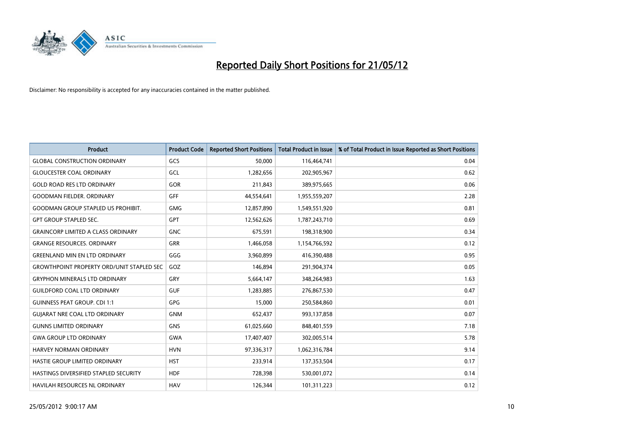

| <b>Product</b>                                   | <b>Product Code</b> | <b>Reported Short Positions</b> | <b>Total Product in Issue</b> | % of Total Product in Issue Reported as Short Positions |
|--------------------------------------------------|---------------------|---------------------------------|-------------------------------|---------------------------------------------------------|
| <b>GLOBAL CONSTRUCTION ORDINARY</b>              | GCS                 | 50,000                          | 116,464,741                   | 0.04                                                    |
| <b>GLOUCESTER COAL ORDINARY</b>                  | GCL                 | 1,282,656                       | 202,905,967                   | 0.62                                                    |
| <b>GOLD ROAD RES LTD ORDINARY</b>                | GOR                 | 211,843                         | 389,975,665                   | 0.06                                                    |
| <b>GOODMAN FIELDER. ORDINARY</b>                 | <b>GFF</b>          | 44,554,641                      | 1,955,559,207                 | 2.28                                                    |
| <b>GOODMAN GROUP STAPLED US PROHIBIT.</b>        | <b>GMG</b>          | 12,857,890                      | 1,549,551,920                 | 0.81                                                    |
| <b>GPT GROUP STAPLED SEC.</b>                    | GPT                 | 12,562,626                      | 1,787,243,710                 | 0.69                                                    |
| <b>GRAINCORP LIMITED A CLASS ORDINARY</b>        | <b>GNC</b>          | 675,591                         | 198,318,900                   | 0.34                                                    |
| <b>GRANGE RESOURCES. ORDINARY</b>                | <b>GRR</b>          | 1,466,058                       | 1,154,766,592                 | 0.12                                                    |
| <b>GREENLAND MIN EN LTD ORDINARY</b>             | GGG                 | 3,960,899                       | 416,390,488                   | 0.95                                                    |
| <b>GROWTHPOINT PROPERTY ORD/UNIT STAPLED SEC</b> | GOZ                 | 146,894                         | 291,904,374                   | 0.05                                                    |
| <b>GRYPHON MINERALS LTD ORDINARY</b>             | GRY                 | 5,664,147                       | 348,264,983                   | 1.63                                                    |
| <b>GUILDFORD COAL LTD ORDINARY</b>               | <b>GUF</b>          | 1,283,885                       | 276,867,530                   | 0.47                                                    |
| <b>GUINNESS PEAT GROUP. CDI 1:1</b>              | GPG                 | 15,000                          | 250,584,860                   | 0.01                                                    |
| <b>GUIARAT NRE COAL LTD ORDINARY</b>             | <b>GNM</b>          | 652,437                         | 993,137,858                   | 0.07                                                    |
| <b>GUNNS LIMITED ORDINARY</b>                    | <b>GNS</b>          | 61,025,660                      | 848,401,559                   | 7.18                                                    |
| <b>GWA GROUP LTD ORDINARY</b>                    | <b>GWA</b>          | 17,407,407                      | 302,005,514                   | 5.78                                                    |
| <b>HARVEY NORMAN ORDINARY</b>                    | <b>HVN</b>          | 97,336,317                      | 1,062,316,784                 | 9.14                                                    |
| HASTIE GROUP LIMITED ORDINARY                    | <b>HST</b>          | 233,914                         | 137,353,504                   | 0.17                                                    |
| HASTINGS DIVERSIFIED STAPLED SECURITY            | <b>HDF</b>          | 728,398                         | 530,001,072                   | 0.14                                                    |
| <b>HAVILAH RESOURCES NL ORDINARY</b>             | <b>HAV</b>          | 126,344                         | 101,311,223                   | 0.12                                                    |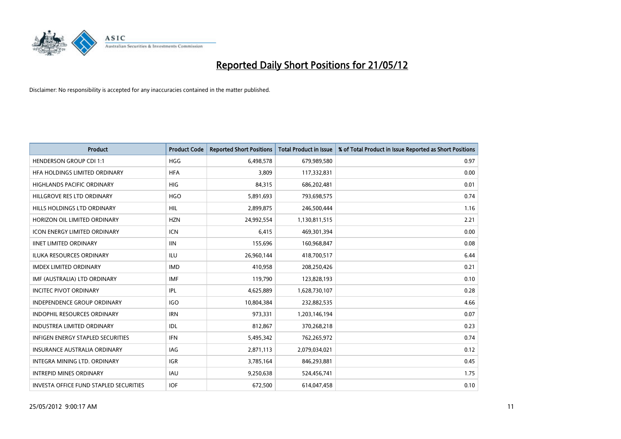

| <b>Product</b>                           | <b>Product Code</b> | <b>Reported Short Positions</b> | <b>Total Product in Issue</b> | % of Total Product in Issue Reported as Short Positions |
|------------------------------------------|---------------------|---------------------------------|-------------------------------|---------------------------------------------------------|
| <b>HENDERSON GROUP CDI 1:1</b>           | <b>HGG</b>          | 6,498,578                       | 679,989,580                   | 0.97                                                    |
| HEA HOLDINGS LIMITED ORDINARY            | <b>HFA</b>          | 3,809                           | 117,332,831                   | 0.00                                                    |
| <b>HIGHLANDS PACIFIC ORDINARY</b>        | <b>HIG</b>          | 84,315                          | 686,202,481                   | 0.01                                                    |
| HILLGROVE RES LTD ORDINARY               | <b>HGO</b>          | 5,891,693                       | 793,698,575                   | 0.74                                                    |
| HILLS HOLDINGS LTD ORDINARY              | <b>HIL</b>          | 2,899,875                       | 246,500,444                   | 1.16                                                    |
| HORIZON OIL LIMITED ORDINARY             | <b>HZN</b>          | 24,992,554                      | 1,130,811,515                 | 2.21                                                    |
| <b>ICON ENERGY LIMITED ORDINARY</b>      | <b>ICN</b>          | 6,415                           | 469,301,394                   | 0.00                                                    |
| <b>IINET LIMITED ORDINARY</b>            | <b>IIN</b>          | 155,696                         | 160,968,847                   | 0.08                                                    |
| <b>ILUKA RESOURCES ORDINARY</b>          | ILU                 | 26,960,144                      | 418,700,517                   | 6.44                                                    |
| <b>IMDEX LIMITED ORDINARY</b>            | <b>IMD</b>          | 410,958                         | 208,250,426                   | 0.21                                                    |
| IMF (AUSTRALIA) LTD ORDINARY             | <b>IMF</b>          | 119,790                         | 123,828,193                   | 0.10                                                    |
| <b>INCITEC PIVOT ORDINARY</b>            | <b>IPL</b>          | 4,625,889                       | 1,628,730,107                 | 0.28                                                    |
| <b>INDEPENDENCE GROUP ORDINARY</b>       | <b>IGO</b>          | 10,804,384                      | 232,882,535                   | 4.66                                                    |
| <b>INDOPHIL RESOURCES ORDINARY</b>       | <b>IRN</b>          | 973,331                         | 1,203,146,194                 | 0.07                                                    |
| <b>INDUSTREA LIMITED ORDINARY</b>        | <b>IDL</b>          | 812,867                         | 370,268,218                   | 0.23                                                    |
| <b>INFIGEN ENERGY STAPLED SECURITIES</b> | <b>IFN</b>          | 5,495,342                       | 762,265,972                   | 0.74                                                    |
| INSURANCE AUSTRALIA ORDINARY             | IAG                 | 2,871,113                       | 2,079,034,021                 | 0.12                                                    |
| INTEGRA MINING LTD. ORDINARY             | <b>IGR</b>          | 3,785,164                       | 846,293,881                   | 0.45                                                    |
| <b>INTREPID MINES ORDINARY</b>           | <b>IAU</b>          | 9,250,638                       | 524,456,741                   | 1.75                                                    |
| INVESTA OFFICE FUND STAPLED SECURITIES   | <b>IOF</b>          | 672,500                         | 614,047,458                   | 0.10                                                    |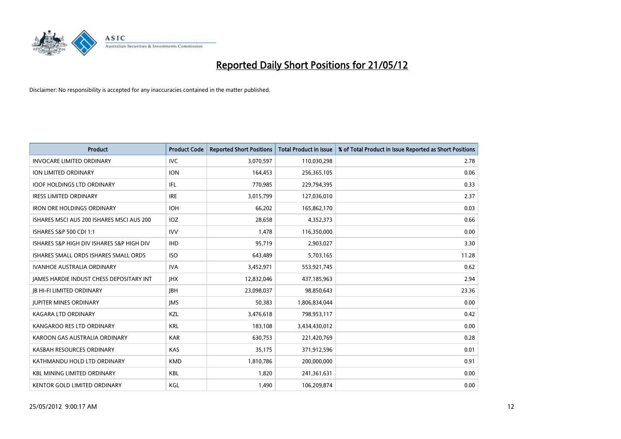

| Product                                   | <b>Product Code</b> | <b>Reported Short Positions</b> | <b>Total Product in Issue</b> | % of Total Product in Issue Reported as Short Positions |
|-------------------------------------------|---------------------|---------------------------------|-------------------------------|---------------------------------------------------------|
| <b>INVOCARE LIMITED ORDINARY</b>          | <b>IVC</b>          | 3,070,597                       | 110,030,298                   | 2.78                                                    |
| ION LIMITED ORDINARY                      | <b>ION</b>          | 164,453                         | 256,365,105                   | 0.06                                                    |
| <b>IOOF HOLDINGS LTD ORDINARY</b>         | IFL                 | 770,985                         | 229,794,395                   | 0.33                                                    |
| <b>IRESS LIMITED ORDINARY</b>             | <b>IRE</b>          | 3,015,799                       | 127,036,010                   | 2.37                                                    |
| <b>IRON ORE HOLDINGS ORDINARY</b>         | <b>IOH</b>          | 66,202                          | 165,862,170                   | 0.03                                                    |
| ISHARES MSCI AUS 200 ISHARES MSCI AUS 200 | <b>IOZ</b>          | 28,658                          | 4,352,373                     | 0.66                                                    |
| ISHARES S&P 500 CDI 1:1                   | <b>IVV</b>          | 1,478                           | 116,350,000                   | 0.00                                                    |
| ISHARES S&P HIGH DIV ISHARES S&P HIGH DIV | <b>IHD</b>          | 95,719                          | 2,903,027                     | 3.30                                                    |
| ISHARES SMALL ORDS ISHARES SMALL ORDS     | <b>ISO</b>          | 643,489                         | 5,703,165                     | 11.28                                                   |
| <b>IVANHOE AUSTRALIA ORDINARY</b>         | <b>IVA</b>          | 3,452,971                       | 553,921,745                   | 0.62                                                    |
| JAMES HARDIE INDUST CHESS DEPOSITARY INT  | <b>IHX</b>          | 12,832,046                      | 437,185,963                   | 2.94                                                    |
| <b>JB HI-FI LIMITED ORDINARY</b>          | <b>JBH</b>          | 23,098,037                      | 98,850,643                    | 23.36                                                   |
| <b>JUPITER MINES ORDINARY</b>             | <b>IMS</b>          | 50,383                          | 1,806,834,044                 | 0.00                                                    |
| <b>KAGARA LTD ORDINARY</b>                | KZL                 | 3,476,618                       | 798,953,117                   | 0.42                                                    |
| KANGAROO RES LTD ORDINARY                 | <b>KRL</b>          | 183,108                         | 3,434,430,012                 | 0.00                                                    |
| KAROON GAS AUSTRALIA ORDINARY             | <b>KAR</b>          | 630,753                         | 221,420,769                   | 0.28                                                    |
| KASBAH RESOURCES ORDINARY                 | <b>KAS</b>          | 35,175                          | 371,912,596                   | 0.01                                                    |
| KATHMANDU HOLD LTD ORDINARY               | <b>KMD</b>          | 1,810,786                       | 200,000,000                   | 0.91                                                    |
| <b>KBL MINING LIMITED ORDINARY</b>        | <b>KBL</b>          | 1,820                           | 241,361,631                   | 0.00                                                    |
| KENTOR GOLD LIMITED ORDINARY              | <b>KGL</b>          | 1,490                           | 106,209,874                   | 0.00                                                    |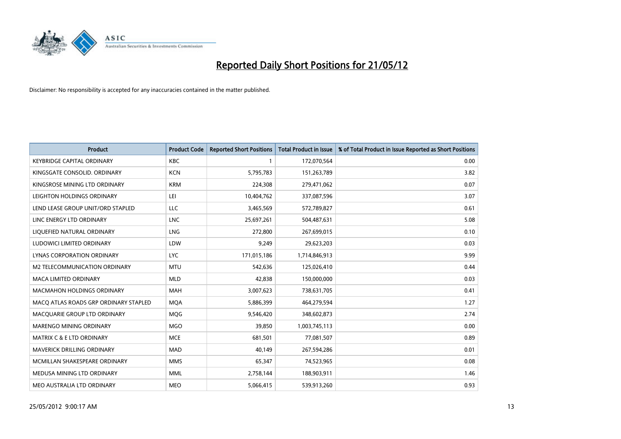

| <b>Product</b>                        | <b>Product Code</b> | <b>Reported Short Positions</b> | <b>Total Product in Issue</b> | % of Total Product in Issue Reported as Short Positions |
|---------------------------------------|---------------------|---------------------------------|-------------------------------|---------------------------------------------------------|
| <b>KEYBRIDGE CAPITAL ORDINARY</b>     | <b>KBC</b>          |                                 | 172,070,564                   | 0.00                                                    |
| KINGSGATE CONSOLID. ORDINARY          | <b>KCN</b>          | 5,795,783                       | 151,263,789                   | 3.82                                                    |
| KINGSROSE MINING LTD ORDINARY         | <b>KRM</b>          | 224,308                         | 279,471,062                   | 0.07                                                    |
| LEIGHTON HOLDINGS ORDINARY            | LEI                 | 10,404,762                      | 337,087,596                   | 3.07                                                    |
| LEND LEASE GROUP UNIT/ORD STAPLED     | LLC                 | 3,465,569                       | 572,789,827                   | 0.61                                                    |
| LINC ENERGY LTD ORDINARY              | <b>LNC</b>          | 25,697,261                      | 504,487,631                   | 5.08                                                    |
| LIQUEFIED NATURAL ORDINARY            | <b>LNG</b>          | 272,800                         | 267,699,015                   | 0.10                                                    |
| LUDOWICI LIMITED ORDINARY             | LDW                 | 9,249                           | 29,623,203                    | 0.03                                                    |
| LYNAS CORPORATION ORDINARY            | <b>LYC</b>          | 171,015,186                     | 1,714,846,913                 | 9.99                                                    |
| M2 TELECOMMUNICATION ORDINARY         | <b>MTU</b>          | 542,636                         | 125,026,410                   | 0.44                                                    |
| MACA LIMITED ORDINARY                 | <b>MLD</b>          | 42,838                          | 150,000,000                   | 0.03                                                    |
| <b>MACMAHON HOLDINGS ORDINARY</b>     | MAH                 | 3,007,623                       | 738,631,705                   | 0.41                                                    |
| MACO ATLAS ROADS GRP ORDINARY STAPLED | <b>MOA</b>          | 5,886,399                       | 464,279,594                   | 1.27                                                    |
| MACQUARIE GROUP LTD ORDINARY          | <b>MOG</b>          | 9,546,420                       | 348,602,873                   | 2.74                                                    |
| MARENGO MINING ORDINARY               | <b>MGO</b>          | 39,850                          | 1,003,745,113                 | 0.00                                                    |
| MATRIX C & E LTD ORDINARY             | <b>MCE</b>          | 681,501                         | 77,081,507                    | 0.89                                                    |
| MAVERICK DRILLING ORDINARY            | MAD                 | 40,149                          | 267,594,286                   | 0.01                                                    |
| MCMILLAN SHAKESPEARE ORDINARY         | <b>MMS</b>          | 65,347                          | 74,523,965                    | 0.08                                                    |
| MEDUSA MINING LTD ORDINARY            | <b>MML</b>          | 2,758,144                       | 188,903,911                   | 1.46                                                    |
| MEO AUSTRALIA LTD ORDINARY            | <b>MEO</b>          | 5,066,415                       | 539,913,260                   | 0.93                                                    |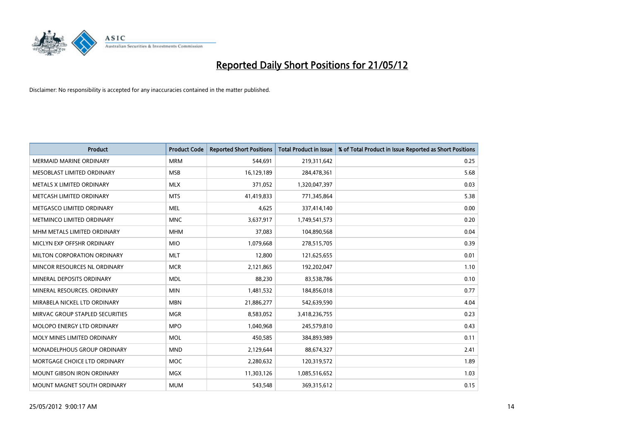

| <b>Product</b>                    | <b>Product Code</b> | <b>Reported Short Positions</b> | <b>Total Product in Issue</b> | % of Total Product in Issue Reported as Short Positions |
|-----------------------------------|---------------------|---------------------------------|-------------------------------|---------------------------------------------------------|
| <b>MERMAID MARINE ORDINARY</b>    | <b>MRM</b>          | 544,691                         | 219,311,642                   | 0.25                                                    |
| MESOBLAST LIMITED ORDINARY        | <b>MSB</b>          | 16,129,189                      | 284,478,361                   | 5.68                                                    |
| METALS X LIMITED ORDINARY         | <b>MLX</b>          | 371,052                         | 1,320,047,397                 | 0.03                                                    |
| METCASH LIMITED ORDINARY          | <b>MTS</b>          | 41,419,833                      | 771,345,864                   | 5.38                                                    |
| METGASCO LIMITED ORDINARY         | <b>MEL</b>          | 4,625                           | 337,414,140                   | 0.00                                                    |
| METMINCO LIMITED ORDINARY         | <b>MNC</b>          | 3,637,917                       | 1,749,541,573                 | 0.20                                                    |
| MHM METALS LIMITED ORDINARY       | <b>MHM</b>          | 37,083                          | 104,890,568                   | 0.04                                                    |
| MICLYN EXP OFFSHR ORDINARY        | <b>MIO</b>          | 1,079,668                       | 278,515,705                   | 0.39                                                    |
| MILTON CORPORATION ORDINARY       | <b>MLT</b>          | 12,800                          | 121,625,655                   | 0.01                                                    |
| MINCOR RESOURCES NL ORDINARY      | <b>MCR</b>          | 2,121,865                       | 192,202,047                   | 1.10                                                    |
| MINERAL DEPOSITS ORDINARY         | <b>MDL</b>          | 88,230                          | 83,538,786                    | 0.10                                                    |
| MINERAL RESOURCES, ORDINARY       | <b>MIN</b>          | 1,481,532                       | 184,856,018                   | 0.77                                                    |
| MIRABELA NICKEL LTD ORDINARY      | <b>MBN</b>          | 21,886,277                      | 542,639,590                   | 4.04                                                    |
| MIRVAC GROUP STAPLED SECURITIES   | <b>MGR</b>          | 8,583,052                       | 3,418,236,755                 | 0.23                                                    |
| MOLOPO ENERGY LTD ORDINARY        | <b>MPO</b>          | 1,040,968                       | 245,579,810                   | 0.43                                                    |
| MOLY MINES LIMITED ORDINARY       | <b>MOL</b>          | 450,585                         | 384,893,989                   | 0.11                                                    |
| MONADELPHOUS GROUP ORDINARY       | <b>MND</b>          | 2,129,644                       | 88,674,327                    | 2.41                                                    |
| MORTGAGE CHOICE LTD ORDINARY      | <b>MOC</b>          | 2,280,632                       | 120,319,572                   | 1.89                                                    |
| <b>MOUNT GIBSON IRON ORDINARY</b> | <b>MGX</b>          | 11,303,126                      | 1,085,516,652                 | 1.03                                                    |
| MOUNT MAGNET SOUTH ORDINARY       | <b>MUM</b>          | 543,548                         | 369,315,612                   | 0.15                                                    |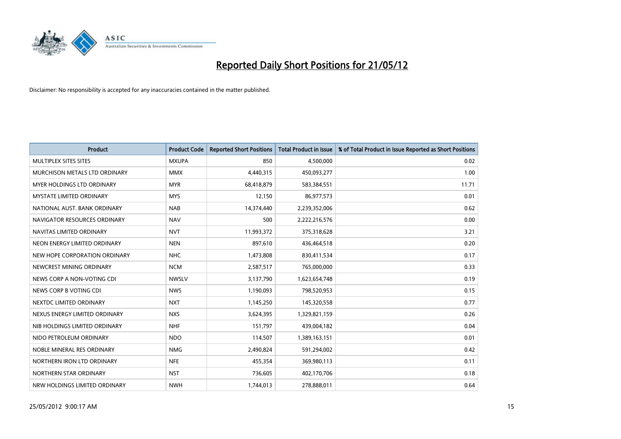

| <b>Product</b>                | <b>Product Code</b> | <b>Reported Short Positions</b> | <b>Total Product in Issue</b> | % of Total Product in Issue Reported as Short Positions |
|-------------------------------|---------------------|---------------------------------|-------------------------------|---------------------------------------------------------|
| MULTIPLEX SITES SITES         | <b>MXUPA</b>        | 850                             | 4,500,000                     | 0.02                                                    |
| MURCHISON METALS LTD ORDINARY | <b>MMX</b>          | 4,440,315                       | 450,093,277                   | 1.00                                                    |
| MYER HOLDINGS LTD ORDINARY    | <b>MYR</b>          | 68,418,879                      | 583,384,551                   | 11.71                                                   |
| MYSTATE LIMITED ORDINARY      | <b>MYS</b>          | 12,150                          | 86,977,573                    | 0.01                                                    |
| NATIONAL AUST, BANK ORDINARY  | <b>NAB</b>          | 14,374,440                      | 2,239,352,006                 | 0.62                                                    |
| NAVIGATOR RESOURCES ORDINARY  | <b>NAV</b>          | 500                             | 2,222,216,576                 | 0.00                                                    |
| NAVITAS LIMITED ORDINARY      | <b>NVT</b>          | 11,993,372                      | 375,318,628                   | 3.21                                                    |
| NEON ENERGY LIMITED ORDINARY  | <b>NEN</b>          | 897,610                         | 436,464,518                   | 0.20                                                    |
| NEW HOPE CORPORATION ORDINARY | <b>NHC</b>          | 1,473,808                       | 830,411,534                   | 0.17                                                    |
| NEWCREST MINING ORDINARY      | <b>NCM</b>          | 2,587,517                       | 765,000,000                   | 0.33                                                    |
| NEWS CORP A NON-VOTING CDI    | <b>NWSLV</b>        | 3,137,790                       | 1,623,654,748                 | 0.19                                                    |
| NEWS CORP B VOTING CDI        | <b>NWS</b>          | 1,190,093                       | 798,520,953                   | 0.15                                                    |
| NEXTDC LIMITED ORDINARY       | <b>NXT</b>          | 1,145,250                       | 145,320,558                   | 0.77                                                    |
| NEXUS ENERGY LIMITED ORDINARY | <b>NXS</b>          | 3,624,395                       | 1,329,821,159                 | 0.26                                                    |
| NIB HOLDINGS LIMITED ORDINARY | <b>NHF</b>          | 151,797                         | 439,004,182                   | 0.04                                                    |
| NIDO PETROLEUM ORDINARY       | <b>NDO</b>          | 114,507                         | 1,389,163,151                 | 0.01                                                    |
| NOBLE MINERAL RES ORDINARY    | <b>NMG</b>          | 2,490,824                       | 591,294,002                   | 0.42                                                    |
| NORTHERN IRON LTD ORDINARY    | <b>NFE</b>          | 455,354                         | 369,980,113                   | 0.11                                                    |
| NORTHERN STAR ORDINARY        | <b>NST</b>          | 736,605                         | 402,170,706                   | 0.18                                                    |
| NRW HOLDINGS LIMITED ORDINARY | <b>NWH</b>          | 1,744,013                       | 278,888,011                   | 0.64                                                    |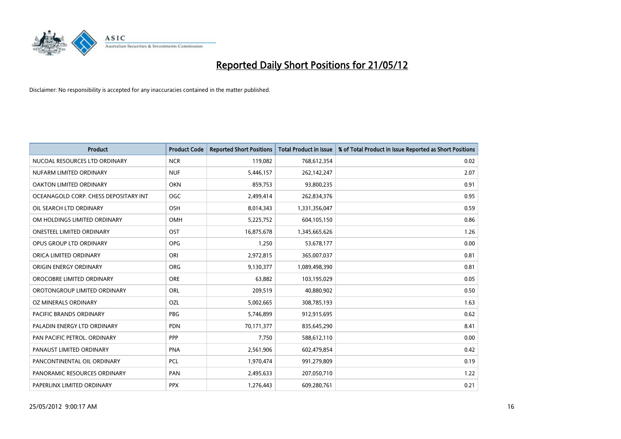

| <b>Product</b>                        | <b>Product Code</b> | <b>Reported Short Positions</b> | <b>Total Product in Issue</b> | % of Total Product in Issue Reported as Short Positions |
|---------------------------------------|---------------------|---------------------------------|-------------------------------|---------------------------------------------------------|
| NUCOAL RESOURCES LTD ORDINARY         | <b>NCR</b>          | 119,082                         | 768,612,354                   | 0.02                                                    |
| NUFARM LIMITED ORDINARY               | <b>NUF</b>          | 5,446,157                       | 262,142,247                   | 2.07                                                    |
| OAKTON LIMITED ORDINARY               | <b>OKN</b>          | 859,753                         | 93,800,235                    | 0.91                                                    |
| OCEANAGOLD CORP. CHESS DEPOSITARY INT | <b>OGC</b>          | 2,499,414                       | 262,834,376                   | 0.95                                                    |
| OIL SEARCH LTD ORDINARY               | OSH                 | 8,014,343                       | 1,331,356,047                 | 0.59                                                    |
| OM HOLDINGS LIMITED ORDINARY          | OMH                 | 5,225,752                       | 604,105,150                   | 0.86                                                    |
| <b>ONESTEEL LIMITED ORDINARY</b>      | OST                 | 16,875,678                      | 1,345,665,626                 | 1.26                                                    |
| OPUS GROUP LTD ORDINARY               | <b>OPG</b>          | 1,250                           | 53,678,177                    | 0.00                                                    |
| ORICA LIMITED ORDINARY                | ORI                 | 2,972,815                       | 365,007,037                   | 0.81                                                    |
| ORIGIN ENERGY ORDINARY                | <b>ORG</b>          | 9,130,377                       | 1,089,498,390                 | 0.81                                                    |
| OROCOBRE LIMITED ORDINARY             | <b>ORE</b>          | 63,882                          | 103,195,029                   | 0.05                                                    |
| OROTONGROUP LIMITED ORDINARY          | <b>ORL</b>          | 209,519                         | 40,880,902                    | 0.50                                                    |
| OZ MINERALS ORDINARY                  | OZL                 | 5,002,665                       | 308,785,193                   | 1.63                                                    |
| <b>PACIFIC BRANDS ORDINARY</b>        | PBG                 | 5,746,899                       | 912,915,695                   | 0.62                                                    |
| PALADIN ENERGY LTD ORDINARY           | <b>PDN</b>          | 70,171,377                      | 835,645,290                   | 8.41                                                    |
| PAN PACIFIC PETROL. ORDINARY          | <b>PPP</b>          | 7,750                           | 588,612,110                   | 0.00                                                    |
| PANAUST LIMITED ORDINARY              | <b>PNA</b>          | 2,561,906                       | 602,479,854                   | 0.42                                                    |
| PANCONTINENTAL OIL ORDINARY           | <b>PCL</b>          | 1,970,474                       | 991,279,809                   | 0.19                                                    |
| PANORAMIC RESOURCES ORDINARY          | PAN                 | 2,495,633                       | 207,050,710                   | 1.22                                                    |
| PAPERLINX LIMITED ORDINARY            | <b>PPX</b>          | 1,276,443                       | 609,280,761                   | 0.21                                                    |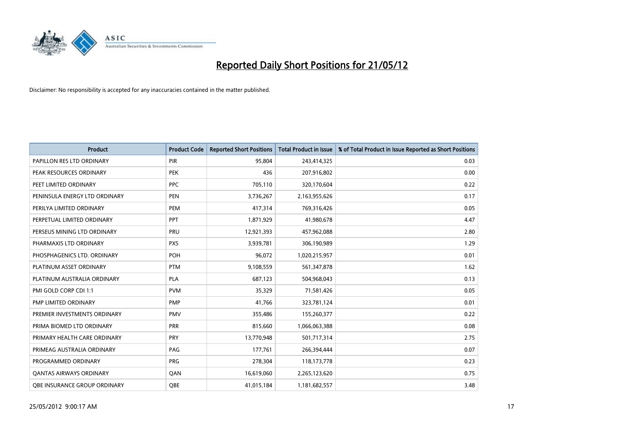

| <b>Product</b>                      | <b>Product Code</b> | <b>Reported Short Positions</b> | <b>Total Product in Issue</b> | % of Total Product in Issue Reported as Short Positions |
|-------------------------------------|---------------------|---------------------------------|-------------------------------|---------------------------------------------------------|
| PAPILLON RES LTD ORDINARY           | <b>PIR</b>          | 95,804                          | 243,414,325                   | 0.03                                                    |
| PEAK RESOURCES ORDINARY             | <b>PEK</b>          | 436                             | 207,916,802                   | 0.00                                                    |
| PEET LIMITED ORDINARY               | <b>PPC</b>          | 705,110                         | 320,170,604                   | 0.22                                                    |
| PENINSULA ENERGY LTD ORDINARY       | <b>PEN</b>          | 3,736,267                       | 2,163,955,626                 | 0.17                                                    |
| PERILYA LIMITED ORDINARY            | PEM                 | 417,314                         | 769,316,426                   | 0.05                                                    |
| PERPETUAL LIMITED ORDINARY          | <b>PPT</b>          | 1,871,929                       | 41,980,678                    | 4.47                                                    |
| PERSEUS MINING LTD ORDINARY         | <b>PRU</b>          | 12,921,393                      | 457,962,088                   | 2.80                                                    |
| PHARMAXIS LTD ORDINARY              | <b>PXS</b>          | 3,939,781                       | 306,190,989                   | 1.29                                                    |
| PHOSPHAGENICS LTD. ORDINARY         | POH                 | 96,072                          | 1,020,215,957                 | 0.01                                                    |
| PLATINUM ASSET ORDINARY             | <b>PTM</b>          | 9,108,559                       | 561,347,878                   | 1.62                                                    |
| PLATINUM AUSTRALIA ORDINARY         | PLA                 | 687,123                         | 504,968,043                   | 0.13                                                    |
| PMI GOLD CORP CDI 1:1               | <b>PVM</b>          | 35,329                          | 71,581,426                    | 0.05                                                    |
| PMP LIMITED ORDINARY                | <b>PMP</b>          | 41,766                          | 323,781,124                   | 0.01                                                    |
| PREMIER INVESTMENTS ORDINARY        | <b>PMV</b>          | 355,486                         | 155,260,377                   | 0.22                                                    |
| PRIMA BIOMED LTD ORDINARY           | <b>PRR</b>          | 815,660                         | 1,066,063,388                 | 0.08                                                    |
| PRIMARY HEALTH CARE ORDINARY        | <b>PRY</b>          | 13,770,948                      | 501,717,314                   | 2.75                                                    |
| PRIMEAG AUSTRALIA ORDINARY          | PAG                 | 177,761                         | 266,394,444                   | 0.07                                                    |
| PROGRAMMED ORDINARY                 | <b>PRG</b>          | 278,304                         | 118,173,778                   | 0.23                                                    |
| <b>QANTAS AIRWAYS ORDINARY</b>      | QAN                 | 16,619,060                      | 2,265,123,620                 | 0.75                                                    |
| <b>QBE INSURANCE GROUP ORDINARY</b> | OBE                 | 41,015,184                      | 1,181,682,557                 | 3.48                                                    |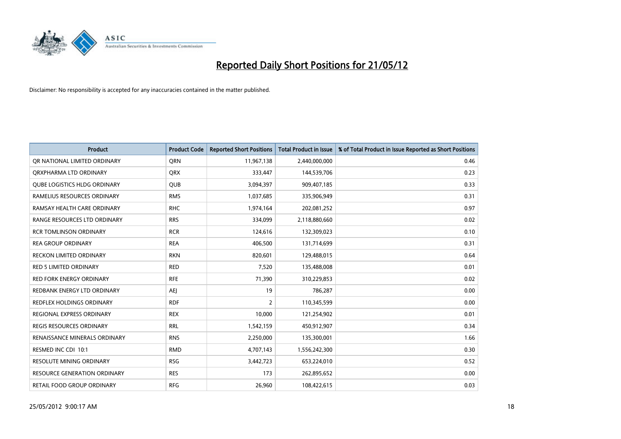

| <b>Product</b>                      | <b>Product Code</b> | <b>Reported Short Positions</b> | <b>Total Product in Issue</b> | % of Total Product in Issue Reported as Short Positions |
|-------------------------------------|---------------------|---------------------------------|-------------------------------|---------------------------------------------------------|
| OR NATIONAL LIMITED ORDINARY        | <b>ORN</b>          | 11,967,138                      | 2,440,000,000                 | 0.46                                                    |
| ORXPHARMA LTD ORDINARY              | <b>QRX</b>          | 333,447                         | 144,539,706                   | 0.23                                                    |
| <b>QUBE LOGISTICS HLDG ORDINARY</b> | QUB                 | 3,094,397                       | 909,407,185                   | 0.33                                                    |
| RAMELIUS RESOURCES ORDINARY         | <b>RMS</b>          | 1,037,685                       | 335,906,949                   | 0.31                                                    |
| RAMSAY HEALTH CARE ORDINARY         | <b>RHC</b>          | 1,974,164                       | 202,081,252                   | 0.97                                                    |
| RANGE RESOURCES LTD ORDINARY        | <b>RRS</b>          | 334,099                         | 2,118,880,660                 | 0.02                                                    |
| <b>RCR TOMLINSON ORDINARY</b>       | <b>RCR</b>          | 124,616                         | 132,309,023                   | 0.10                                                    |
| <b>REA GROUP ORDINARY</b>           | <b>REA</b>          | 406,500                         | 131,714,699                   | 0.31                                                    |
| <b>RECKON LIMITED ORDINARY</b>      | <b>RKN</b>          | 820,601                         | 129,488,015                   | 0.64                                                    |
| <b>RED 5 LIMITED ORDINARY</b>       | <b>RED</b>          | 7,520                           | 135,488,008                   | 0.01                                                    |
| RED FORK ENERGY ORDINARY            | <b>RFE</b>          | 71,390                          | 310,229,853                   | 0.02                                                    |
| REDBANK ENERGY LTD ORDINARY         | AEJ                 | 19                              | 786,287                       | 0.00                                                    |
| REDFLEX HOLDINGS ORDINARY           | <b>RDF</b>          | $\overline{2}$                  | 110,345,599                   | 0.00                                                    |
| REGIONAL EXPRESS ORDINARY           | <b>REX</b>          | 10,000                          | 121,254,902                   | 0.01                                                    |
| <b>REGIS RESOURCES ORDINARY</b>     | <b>RRL</b>          | 1,542,159                       | 450,912,907                   | 0.34                                                    |
| RENAISSANCE MINERALS ORDINARY       | <b>RNS</b>          | 2,250,000                       | 135,300,001                   | 1.66                                                    |
| RESMED INC CDI 10:1                 | <b>RMD</b>          | 4,707,143                       | 1,556,242,300                 | 0.30                                                    |
| <b>RESOLUTE MINING ORDINARY</b>     | <b>RSG</b>          | 3,442,723                       | 653,224,010                   | 0.52                                                    |
| <b>RESOURCE GENERATION ORDINARY</b> | <b>RES</b>          | 173                             | 262,895,652                   | 0.00                                                    |
| RETAIL FOOD GROUP ORDINARY          | <b>RFG</b>          | 26,960                          | 108,422,615                   | 0.03                                                    |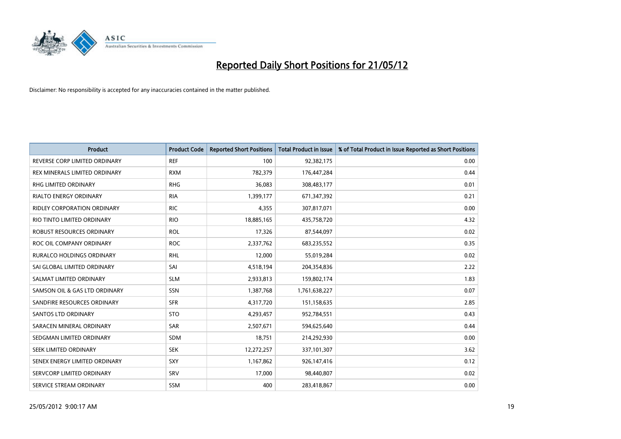

| <b>Product</b>                   | <b>Product Code</b> | <b>Reported Short Positions</b> | Total Product in Issue | % of Total Product in Issue Reported as Short Positions |
|----------------------------------|---------------------|---------------------------------|------------------------|---------------------------------------------------------|
| REVERSE CORP LIMITED ORDINARY    | <b>REF</b>          | 100                             | 92,382,175             | 0.00                                                    |
| REX MINERALS LIMITED ORDINARY    | <b>RXM</b>          | 782,379                         | 176,447,284            | 0.44                                                    |
| RHG LIMITED ORDINARY             | <b>RHG</b>          | 36,083                          | 308,483,177            | 0.01                                                    |
| RIALTO ENERGY ORDINARY           | <b>RIA</b>          | 1,399,177                       | 671,347,392            | 0.21                                                    |
| RIDLEY CORPORATION ORDINARY      | <b>RIC</b>          | 4,355                           | 307,817,071            | 0.00                                                    |
| RIO TINTO LIMITED ORDINARY       | <b>RIO</b>          | 18,885,165                      | 435,758,720            | 4.32                                                    |
| ROBUST RESOURCES ORDINARY        | <b>ROL</b>          | 17,326                          | 87,544,097             | 0.02                                                    |
| ROC OIL COMPANY ORDINARY         | <b>ROC</b>          | 2,337,762                       | 683,235,552            | 0.35                                                    |
| <b>RURALCO HOLDINGS ORDINARY</b> | <b>RHL</b>          | 12,000                          | 55,019,284             | 0.02                                                    |
| SAI GLOBAL LIMITED ORDINARY      | SAI                 | 4,518,194                       | 204,354,836            | 2.22                                                    |
| SALMAT LIMITED ORDINARY          | <b>SLM</b>          | 2,933,813                       | 159,802,174            | 1.83                                                    |
| SAMSON OIL & GAS LTD ORDINARY    | SSN                 | 1,387,768                       | 1,761,638,227          | 0.07                                                    |
| SANDFIRE RESOURCES ORDINARY      | <b>SFR</b>          | 4,317,720                       | 151,158,635            | 2.85                                                    |
| SANTOS LTD ORDINARY              | <b>STO</b>          | 4,293,457                       | 952,784,551            | 0.43                                                    |
| SARACEN MINERAL ORDINARY         | <b>SAR</b>          | 2,507,671                       | 594,625,640            | 0.44                                                    |
| SEDGMAN LIMITED ORDINARY         | SDM                 | 18,751                          | 214,292,930            | 0.00                                                    |
| SEEK LIMITED ORDINARY            | <b>SEK</b>          | 12,272,257                      | 337,101,307            | 3.62                                                    |
| SENEX ENERGY LIMITED ORDINARY    | SXY                 | 1,167,862                       | 926,147,416            | 0.12                                                    |
| SERVCORP LIMITED ORDINARY        | SRV                 | 17,000                          | 98,440,807             | 0.02                                                    |
| SERVICE STREAM ORDINARY          | <b>SSM</b>          | 400                             | 283,418,867            | 0.00                                                    |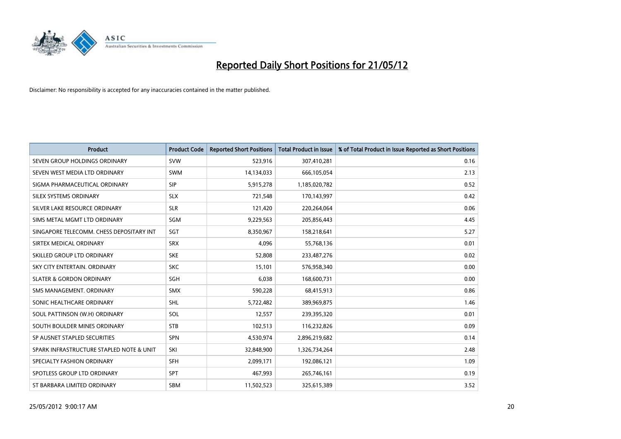

| <b>Product</b>                           | <b>Product Code</b> | <b>Reported Short Positions</b> | <b>Total Product in Issue</b> | % of Total Product in Issue Reported as Short Positions |
|------------------------------------------|---------------------|---------------------------------|-------------------------------|---------------------------------------------------------|
| SEVEN GROUP HOLDINGS ORDINARY            | <b>SVW</b>          | 523,916                         | 307,410,281                   | 0.16                                                    |
| SEVEN WEST MEDIA LTD ORDINARY            | <b>SWM</b>          | 14,134,033                      | 666,105,054                   | 2.13                                                    |
| SIGMA PHARMACEUTICAL ORDINARY            | <b>SIP</b>          | 5,915,278                       | 1,185,020,782                 | 0.52                                                    |
| SILEX SYSTEMS ORDINARY                   | <b>SLX</b>          | 721,548                         | 170,143,997                   | 0.42                                                    |
| SILVER LAKE RESOURCE ORDINARY            | <b>SLR</b>          | 121,420                         | 220,264,064                   | 0.06                                                    |
| SIMS METAL MGMT LTD ORDINARY             | SGM                 | 9,229,563                       | 205,856,443                   | 4.45                                                    |
| SINGAPORE TELECOMM. CHESS DEPOSITARY INT | SGT                 | 8,350,967                       | 158,218,641                   | 5.27                                                    |
| SIRTEX MEDICAL ORDINARY                  | <b>SRX</b>          | 4,096                           | 55,768,136                    | 0.01                                                    |
| SKILLED GROUP LTD ORDINARY               | <b>SKE</b>          | 52,808                          | 233,487,276                   | 0.02                                                    |
| SKY CITY ENTERTAIN, ORDINARY             | <b>SKC</b>          | 15,101                          | 576,958,340                   | 0.00                                                    |
| <b>SLATER &amp; GORDON ORDINARY</b>      | <b>SGH</b>          | 6,038                           | 168,600,731                   | 0.00                                                    |
| SMS MANAGEMENT, ORDINARY                 | <b>SMX</b>          | 590,228                         | 68,415,913                    | 0.86                                                    |
| SONIC HEALTHCARE ORDINARY                | SHL                 | 5,722,482                       | 389,969,875                   | 1.46                                                    |
| SOUL PATTINSON (W.H) ORDINARY            | SOL                 | 12,557                          | 239,395,320                   | 0.01                                                    |
| SOUTH BOULDER MINES ORDINARY             | <b>STB</b>          | 102,513                         | 116,232,826                   | 0.09                                                    |
| SP AUSNET STAPLED SECURITIES             | SPN                 | 4,530,974                       | 2,896,219,682                 | 0.14                                                    |
| SPARK INFRASTRUCTURE STAPLED NOTE & UNIT | SKI                 | 32,848,900                      | 1,326,734,264                 | 2.48                                                    |
| SPECIALTY FASHION ORDINARY               | <b>SFH</b>          | 2,099,171                       | 192,086,121                   | 1.09                                                    |
| SPOTLESS GROUP LTD ORDINARY              | <b>SPT</b>          | 467,993                         | 265,746,161                   | 0.19                                                    |
| ST BARBARA LIMITED ORDINARY              | <b>SBM</b>          | 11,502,523                      | 325,615,389                   | 3.52                                                    |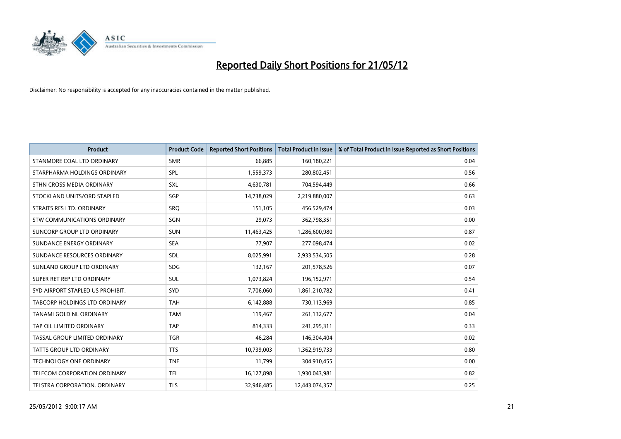

| <b>Product</b>                     | <b>Product Code</b> | <b>Reported Short Positions</b> | <b>Total Product in Issue</b> | % of Total Product in Issue Reported as Short Positions |
|------------------------------------|---------------------|---------------------------------|-------------------------------|---------------------------------------------------------|
| STANMORE COAL LTD ORDINARY         | <b>SMR</b>          | 66,885                          | 160,180,221                   | 0.04                                                    |
| STARPHARMA HOLDINGS ORDINARY       | SPL                 | 1,559,373                       | 280,802,451                   | 0.56                                                    |
| STHN CROSS MEDIA ORDINARY          | <b>SXL</b>          | 4,630,781                       | 704,594,449                   | 0.66                                                    |
| STOCKLAND UNITS/ORD STAPLED        | <b>SGP</b>          | 14,738,029                      | 2,219,880,007                 | 0.63                                                    |
| STRAITS RES LTD. ORDINARY          | SRO                 | 151,105                         | 456,529,474                   | 0.03                                                    |
| <b>STW COMMUNICATIONS ORDINARY</b> | SGN                 | 29,073                          | 362,798,351                   | 0.00                                                    |
| SUNCORP GROUP LTD ORDINARY         | <b>SUN</b>          | 11,463,425                      | 1,286,600,980                 | 0.87                                                    |
| SUNDANCE ENERGY ORDINARY           | <b>SEA</b>          | 77,907                          | 277,098,474                   | 0.02                                                    |
| SUNDANCE RESOURCES ORDINARY        | <b>SDL</b>          | 8,025,991                       | 2,933,534,505                 | 0.28                                                    |
| SUNLAND GROUP LTD ORDINARY         | <b>SDG</b>          | 132,167                         | 201,578,526                   | 0.07                                                    |
| SUPER RET REP LTD ORDINARY         | <b>SUL</b>          | 1,073,824                       | 196,152,971                   | 0.54                                                    |
| SYD AIRPORT STAPLED US PROHIBIT.   | <b>SYD</b>          | 7,706,060                       | 1,861,210,782                 | 0.41                                                    |
| TABCORP HOLDINGS LTD ORDINARY      | <b>TAH</b>          | 6,142,888                       | 730,113,969                   | 0.85                                                    |
| <b>TANAMI GOLD NL ORDINARY</b>     | <b>TAM</b>          | 119,467                         | 261,132,677                   | 0.04                                                    |
| TAP OIL LIMITED ORDINARY           | <b>TAP</b>          | 814,333                         | 241,295,311                   | 0.33                                                    |
| TASSAL GROUP LIMITED ORDINARY      | <b>TGR</b>          | 46,284                          | 146,304,404                   | 0.02                                                    |
| <b>TATTS GROUP LTD ORDINARY</b>    | <b>TTS</b>          | 10,739,003                      | 1,362,919,733                 | 0.80                                                    |
| <b>TECHNOLOGY ONE ORDINARY</b>     | <b>TNE</b>          | 11,799                          | 304,910,455                   | 0.00                                                    |
| TELECOM CORPORATION ORDINARY       | <b>TEL</b>          | 16,127,898                      | 1,930,043,981                 | 0.82                                                    |
| TELSTRA CORPORATION. ORDINARY      | <b>TLS</b>          | 32,946,485                      | 12,443,074,357                | 0.25                                                    |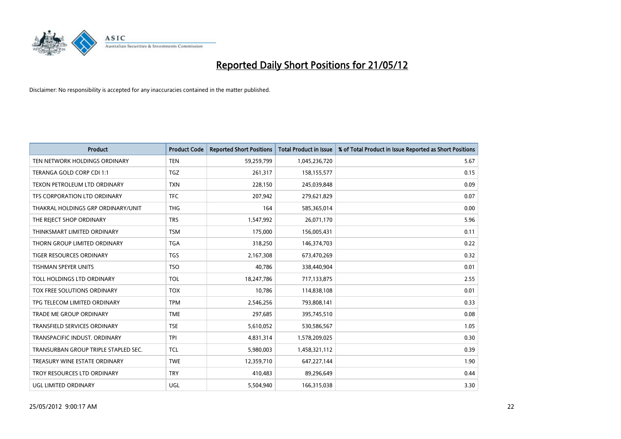

| <b>Product</b>                       | <b>Product Code</b> | <b>Reported Short Positions</b> | <b>Total Product in Issue</b> | % of Total Product in Issue Reported as Short Positions |
|--------------------------------------|---------------------|---------------------------------|-------------------------------|---------------------------------------------------------|
| TEN NETWORK HOLDINGS ORDINARY        | <b>TEN</b>          | 59,259,799                      | 1,045,236,720                 | 5.67                                                    |
| TERANGA GOLD CORP CDI 1:1            | <b>TGZ</b>          | 261,317                         | 158,155,577                   | 0.15                                                    |
| TEXON PETROLEUM LTD ORDINARY         | <b>TXN</b>          | 228,150                         | 245,039,848                   | 0.09                                                    |
| TFS CORPORATION LTD ORDINARY         | <b>TFC</b>          | 207,942                         | 279,621,829                   | 0.07                                                    |
| THAKRAL HOLDINGS GRP ORDINARY/UNIT   | <b>THG</b>          | 164                             | 585,365,014                   | 0.00                                                    |
| THE REJECT SHOP ORDINARY             | <b>TRS</b>          | 1,547,992                       | 26,071,170                    | 5.96                                                    |
| THINKSMART LIMITED ORDINARY          | <b>TSM</b>          | 175,000                         | 156,005,431                   | 0.11                                                    |
| THORN GROUP LIMITED ORDINARY         | <b>TGA</b>          | 318,250                         | 146,374,703                   | 0.22                                                    |
| <b>TIGER RESOURCES ORDINARY</b>      | <b>TGS</b>          | 2,167,308                       | 673,470,269                   | 0.32                                                    |
| <b>TISHMAN SPEYER UNITS</b>          | <b>TSO</b>          | 40,786                          | 338,440,904                   | 0.01                                                    |
| TOLL HOLDINGS LTD ORDINARY           | <b>TOL</b>          | 18,247,786                      | 717,133,875                   | 2.55                                                    |
| TOX FREE SOLUTIONS ORDINARY          | <b>TOX</b>          | 10,786                          | 114,838,108                   | 0.01                                                    |
| TPG TELECOM LIMITED ORDINARY         | <b>TPM</b>          | 2,546,256                       | 793,808,141                   | 0.33                                                    |
| <b>TRADE ME GROUP ORDINARY</b>       | <b>TME</b>          | 297,685                         | 395,745,510                   | 0.08                                                    |
| <b>TRANSFIELD SERVICES ORDINARY</b>  | <b>TSE</b>          | 5,610,052                       | 530,586,567                   | 1.05                                                    |
| TRANSPACIFIC INDUST. ORDINARY        | <b>TPI</b>          | 4,831,314                       | 1,578,209,025                 | 0.30                                                    |
| TRANSURBAN GROUP TRIPLE STAPLED SEC. | TCL                 | 5,980,003                       | 1,458,321,112                 | 0.39                                                    |
| TREASURY WINE ESTATE ORDINARY        | <b>TWE</b>          | 12,359,710                      | 647,227,144                   | 1.90                                                    |
| TROY RESOURCES LTD ORDINARY          | <b>TRY</b>          | 410,483                         | 89,296,649                    | 0.44                                                    |
| UGL LIMITED ORDINARY                 | UGL                 | 5,504,940                       | 166,315,038                   | 3.30                                                    |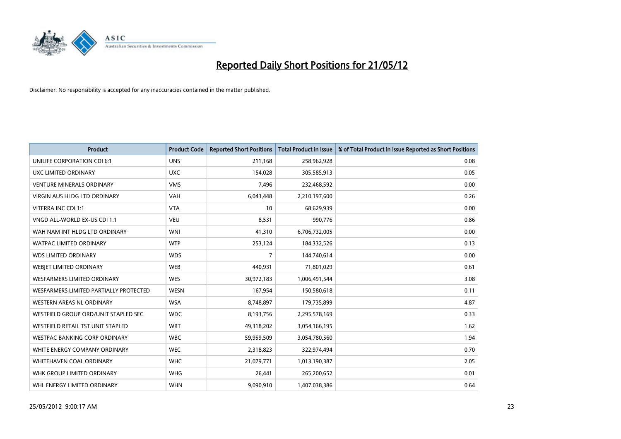

| <b>Product</b>                         | <b>Product Code</b> | <b>Reported Short Positions</b> | <b>Total Product in Issue</b> | % of Total Product in Issue Reported as Short Positions |
|----------------------------------------|---------------------|---------------------------------|-------------------------------|---------------------------------------------------------|
| UNILIFE CORPORATION CDI 6:1            | <b>UNS</b>          | 211,168                         | 258,962,928                   | 0.08                                                    |
| UXC LIMITED ORDINARY                   | <b>UXC</b>          | 154,028                         | 305,585,913                   | 0.05                                                    |
| <b>VENTURE MINERALS ORDINARY</b>       | <b>VMS</b>          | 7,496                           | 232,468,592                   | 0.00                                                    |
| <b>VIRGIN AUS HLDG LTD ORDINARY</b>    | <b>VAH</b>          | 6,043,448                       | 2,210,197,600                 | 0.26                                                    |
| VITERRA INC CDI 1:1                    | <b>VTA</b>          | 10                              | 68,629,939                    | 0.00                                                    |
| VNGD ALL-WORLD EX-US CDI 1:1           | <b>VEU</b>          | 8,531                           | 990,776                       | 0.86                                                    |
| WAH NAM INT HLDG LTD ORDINARY          | <b>WNI</b>          | 41,310                          | 6,706,732,005                 | 0.00                                                    |
| WATPAC LIMITED ORDINARY                | <b>WTP</b>          | 253,124                         | 184,332,526                   | 0.13                                                    |
| <b>WDS LIMITED ORDINARY</b>            | <b>WDS</b>          | $\overline{7}$                  | 144,740,614                   | 0.00                                                    |
| WEBIET LIMITED ORDINARY                | <b>WEB</b>          | 440,931                         | 71,801,029                    | 0.61                                                    |
| WESFARMERS LIMITED ORDINARY            | <b>WES</b>          | 30,972,183                      | 1,006,491,544                 | 3.08                                                    |
| WESFARMERS LIMITED PARTIALLY PROTECTED | <b>WESN</b>         | 167,954                         | 150,580,618                   | 0.11                                                    |
| WESTERN AREAS NL ORDINARY              | <b>WSA</b>          | 8,748,897                       | 179,735,899                   | 4.87                                                    |
| WESTFIELD GROUP ORD/UNIT STAPLED SEC   | <b>WDC</b>          | 8,193,756                       | 2,295,578,169                 | 0.33                                                    |
| WESTFIELD RETAIL TST UNIT STAPLED      | <b>WRT</b>          | 49,318,202                      | 3,054,166,195                 | 1.62                                                    |
| <b>WESTPAC BANKING CORP ORDINARY</b>   | <b>WBC</b>          | 59,959,509                      | 3,054,780,560                 | 1.94                                                    |
| WHITE ENERGY COMPANY ORDINARY          | <b>WEC</b>          | 2,318,823                       | 322,974,494                   | 0.70                                                    |
| WHITEHAVEN COAL ORDINARY               | <b>WHC</b>          | 21,079,771                      | 1,013,190,387                 | 2.05                                                    |
| WHK GROUP LIMITED ORDINARY             | <b>WHG</b>          | 26,441                          | 265,200,652                   | 0.01                                                    |
| WHL ENERGY LIMITED ORDINARY            | <b>WHN</b>          | 9,090,910                       | 1,407,038,386                 | 0.64                                                    |